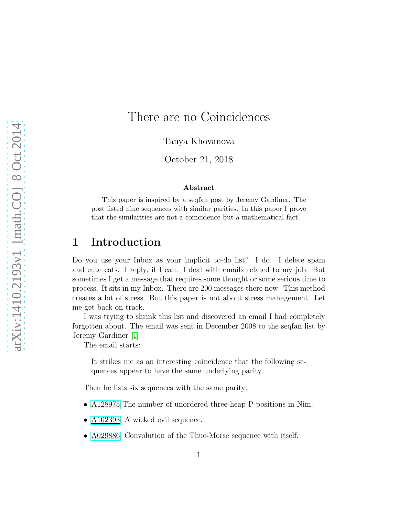# There are no Coincidences

Tanya Khovanova

October 21, 2018

#### Abstract

This paper is inspired by a seqfan post by Jeremy Gardiner. The post listed nine sequences with similar parities. In this paper I prove that the similarities are not a coincidence but a mathematical fact.

## 1 Introduction

Do you use your Inbox as your implicit to-do list? I do. I delete spam and cute cats. I reply, if I can. I deal with emails related to my job. But sometimes I get a message that requires some thought or some serious time to process. It sits in my Inbox. There are 200 messages there now. This method creates a lot of stress. But this paper is not about stress management. Let me get back on track.

I was trying to shrink this list and discovered an email I had completely forgotten about. The email was sent in December 2008 to the seqfan list by Jeremy Gardiner [\[1\]](#page-8-0).

The email starts:

It strikes me as an interesting coincidence that the following sequences appear to have the same underlying parity.

Then he lists six sequences with the same parity:

- [A128975](http://oeis.org/A128975) The number of unordered three-heap P-positions in Nim.
- [A102393,](http://oeis.org/A102393) A wicked evil sequence.
- [A029886,](http://oeis.org/A029886) Convolution of the Thue-Morse sequence with itself.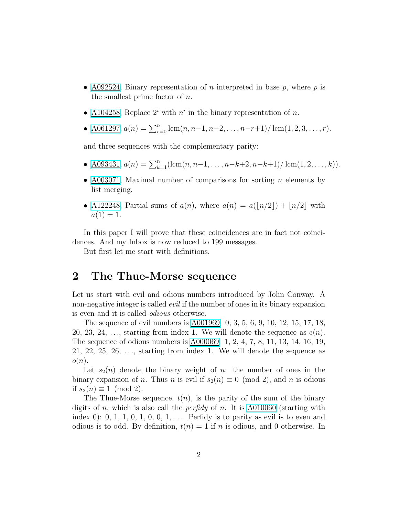- [A092524,](http://oeis.org/A092524) Binary representation of *n* interpreted in base  $p$ , where  $p$  is the smallest prime factor of  $n$ .
- [A104258,](http://oeis.org/A104258) Replace  $2^i$  with  $n^i$  in the binary representation of n.
- <u>A061297</u>,  $a(n) = \sum_{r=0}^{n} \text{lcm}(n, n-1, n-2, \ldots, n-r+1) / \text{lcm}(1, 2, 3, \ldots, r)$ .

and three sequences with the complementary parity:

- <u>A093431</u>,  $a(n) = \sum_{k=1}^{n} (\text{lcm}(n, n-1, \ldots, n-k+2, n-k+1) / (\text{lcm}(1, 2, \ldots, k)).$
- [A003071,](http://oeis.org/A003071) Maximal number of comparisons for sorting n elements by list merging.
- [A122248,](http://oeis.org/A122248) Partial sums of  $a(n)$ , where  $a(n) = a(\lfloor n/2 \rfloor) + \lfloor n/2 \rfloor$  with  $a(1) = 1.$

In this paper I will prove that these coincidences are in fact not coincidences. And my Inbox is now reduced to 199 messages.

But first let me start with definitions.

## 2 The Thue-Morse sequence

Let us start with evil and odious numbers introduced by John Conway. A non-negative integer is called *evil* if the number of ones in its binary expansion is even and it is called *odious* otherwise.

The sequence of evil numbers is [A001969:](http://oeis.org/A001969) 0, 3, 5, 6, 9, 10, 12, 15, 17, 18, 20, 23, 24, ..., starting from index 1. We will denote the sequence as  $e(n)$ . The sequence of odious numbers is [A000069:](http://oeis.org/A000069) 1, 2, 4, 7, 8, 11, 13, 14, 16, 19, 21, 22, 25, 26,  $\dots$ , starting from index 1. We will denote the sequence as  $o(n)$ .

Let  $s_2(n)$  denote the binary weight of n: the number of ones in the binary expansion of n. Thus n is evil if  $s_2(n) \equiv 0 \pmod{2}$ , and n is odious if  $s_2(n) \equiv 1 \pmod{2}$ .

The Thue-Morse sequence,  $t(n)$ , is the parity of the sum of the binary digits of n, which is also call the *perfidy* of n. It is [A010060](http://oeis.org/A010060) (starting with index 0): 0, 1, 1, 0, 1, 0, 0, 1,  $\dots$  Perfidy is to parity as evil is to even and odious is to odd. By definition,  $t(n) = 1$  if n is odious, and 0 otherwise. In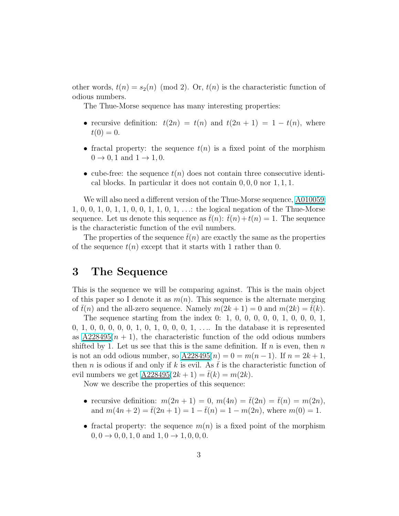other words,  $t(n) = s_2(n) \pmod{2}$ . Or,  $t(n)$  is the characteristic function of odious numbers.

The Thue-Morse sequence has many interesting properties:

- recursive definition:  $t(2n) = t(n)$  and  $t(2n + 1) = 1 t(n)$ , where  $t(0) = 0.$
- fractal property: the sequence  $t(n)$  is a fixed point of the morphism  $0 \rightarrow 0, 1$  and  $1 \rightarrow 1, 0$ .
- cube-free: the sequence  $t(n)$  does not contain three consecutive identical blocks. In particular it does not contain 0, 0, 0 nor 1, 1, 1.

We will also need a different version of the Thue-Morse sequence,  $\underline{\mathrm{A010059}}$ : 1, 0, 0, 1, 0, 1, 1, 0, 0, 1, 1, 0, 1, . . .: the logical negation of the Thue-Morse sequence. Let us denote this sequence as  $\bar{t}(n)$ :  $\bar{t}(n) + t(n) = 1$ . The sequence is the characteristic function of the evil numbers.

The properties of the sequence  $\bar{t}(n)$  are exactly the same as the properties of the sequence  $t(n)$  except that it starts with 1 rather than 0.

## 3 The Sequence

This is the sequence we will be comparing against. This is the main object of this paper so I denote it as  $m(n)$ . This sequence is the alternate merging of  $\bar{t}(n)$  and the all-zero sequence. Namely  $m(2k + 1) = 0$  and  $m(2k) = \bar{t}(k)$ .

The sequence starting from the index 0: 1, 0, 0, 0, 0, 0, 1, 0, 0, 0, 1, 0, 1, 0, 0, 0, 0, 0, 1, 0, 1, 0, 0, 1,  $\dots$  In the database it is represented as  $A228495(n + 1)$ , the characteristic function of the odd odious numbers shifted by 1. Let us see that this is the same definition. If  $n$  is even, then  $n$ is not an odd odious number, so  $A228495(n) = 0 = m(n-1)$ . If  $n = 2k+1$ , then *n* is odious if and only if k is evil. As  $\bar{t}$  is the characteristic function of evil numbers we get  $A228495(2k + 1) = \bar{t}(k) = m(2k)$ .

Now we describe the properties of this sequence:

- recursive definition:  $m(2n+1) = 0$ ,  $m(4n) = \overline{t}(2n) = \overline{t}(n) = m(2n)$ , and  $m(4n + 2) = \overline{t}(2n + 1) = 1 - \overline{t}(n) = 1 - m(2n)$ , where  $m(0) = 1$ .
- fractal property: the sequence  $m(n)$  is a fixed point of the morphism  $0, 0 \rightarrow 0, 0, 1, 0$  and  $1, 0 \rightarrow 1, 0, 0, 0$ .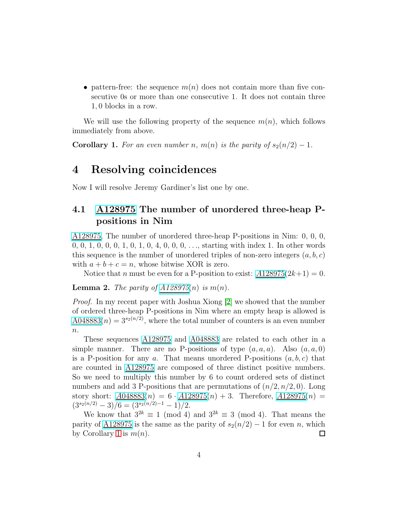• pattern-free: the sequence  $m(n)$  does not contain more than five consecutive 0s or more than one consecutive 1. It does not contain three 1, 0 blocks in a row.

We will use the following property of the sequence  $m(n)$ , which follows immediately from above.

<span id="page-3-0"></span>**Corollary 1.** For an even number n,  $m(n)$  is the parity of  $s_2(n/2) - 1$ .

## 4 Resolving coincidences

Now I will resolve Jeremy Gardiner's list one by one.

### 4.1 [A128975](http://oeis.org/A128975) The number of unordered three-heap Ppositions in Nim

[A128975,](http://oeis.org/A128975) The number of unordered three-heap P-positions in Nim: 0, 0, 0, 0, 0, 1, 0, 0, 0, 1, 0, 1, 0, 4, 0, 0, 0, . . ., starting with index 1. In other words this sequence is the number of unordered triples of non-zero integers  $(a, b, c)$ with  $a + b + c = n$ , whose bitwise XOR is zero.

Notice that n must be even for a P-position to exist:  $A128975(2k+1) = 0$  $A128975(2k+1) = 0$  $A128975(2k+1) = 0$ .

**Lemma 2.** *The parity of [A128975](http://oeis.org/A128975)* $(n)$  *is*  $m(n)$ *.* 

*Proof.* In my recent paper with Joshua Xiong [\[2\]](#page-8-1) we showed that the number of ordered three-heap P-positions in Nim where an empty heap is allowed is A048883 $(n) = 3^{s_2(n/2)}$ , where the total number of counters is an even number  $n$ .

These sequences [A128975](http://oeis.org/A128975) and [A048883](http://oeis.org/A048883) are related to each other in a simple manner. There are no P-positions of type  $(a, a, a)$ . Also  $(a, a, 0)$ is a P-position for any a. That means unordered P-positions  $(a, b, c)$  that are counted in [A128975](http://oeis.org/A128975) are composed of three distinct positive numbers. So we need to multiply this number by 6 to count ordered sets of distinct numbers and add 3 P-positions that are permutations of  $(n/2, n/2, 0)$ . Long story short:  $\underline{A048883}(n) = 6 \cdot \underline{A128975}(n) + 3$ . Therefore,  $\underline{A128975}(n) =$  $(3^{s_2(n/2)} - 3)/6 = (3^{s_2(n/2)-1} - 1)/2.$ 

We know that  $3^{2k} \equiv 1 \pmod{4}$  and  $3^{2k} \equiv 3 \pmod{4}$ . That means the parity of [A128975](http://oeis.org/A128975) is the same as the parity of  $s_2(n/2) - 1$  for even n, which by Corollary [1](#page-3-0) is  $m(n)$ .  $\Box$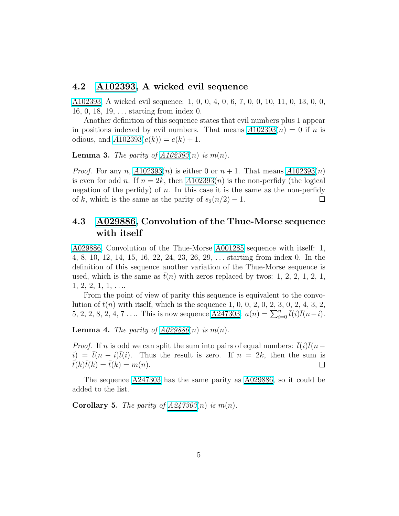#### 4.2 [A102393,](http://oeis.org/A102393) A wicked evil sequence

[A102393,](http://oeis.org/A102393) A wicked evil sequence: 1, 0, 0, 4, 0, 6, 7, 0, 0, 10, 11, 0, 13, 0, 0, 16, 0, 18, 19, . . . starting from index 0.

Another definition of this sequence states that evil numbers plus 1 appear in positions indexed by evil numbers. That means  $\underline{A102393}(n) = 0$  if n is odious, and  $A102393(e(k)) = e(k) + 1$  $A102393(e(k)) = e(k) + 1$  $A102393(e(k)) = e(k) + 1$ .

**Lemma 3.** *The parity of*  $A102393(n)$  *is*  $m(n)$ *.* 

*Proof.* For any n,  $A102393(n)$  $A102393(n)$  $A102393(n)$  is either 0 or  $n + 1$ . That means  $A102393(n)$ is even for odd n. If  $n = 2k$ , then  $\underline{A102393}(n)$  is the non-perfidy (the logical negation of the perfidy) of  $n$ . In this case it is the same as the non-perfidy of k, which is the same as the parity of  $s_2(n/2) - 1$ .  $\Box$ 

### 4.3 [A029886,](http://oeis.org/A029886) Convolution of the Thue-Morse sequence with itself

[A029886,](http://oeis.org/A029886) Convolution of the Thue-Morse [A001285](http://oeis.org/A001285) sequence with itself: 1, 4, 8, 10, 12, 14, 15, 16, 22, 24, 23, 26, 29, . . . starting from index 0. In the definition of this sequence another variation of the Thue-Morse sequence is used, which is the same as  $t(n)$  with zeros replaced by twos: 1, 2, 2, 1, 2, 1,  $1, 2, 2, 1, 1, \ldots$ 

From the point of view of parity this sequence is equivalent to the convolution of  $\bar{t}(n)$  with itself, which is the sequence 1, 0, 0, 2, 0, 2, 3, 0, 2, 4, 3, 2, 5, 2, 2, 8, 2, 4, 7 .... This is now sequence  $\underline{A247303}$ :  $a(n) = \sum_{i=0}^{n} \bar{t}(i)\bar{t}(n-i)$ .

**Lemma 4.** *The parity of [A029886](http://oeis.org/A029886)(n) is*  $m(n)$ *.* 

*Proof.* If n is odd we can split the sum into pairs of equal numbers:  $t(i)t(n$  $i) = \bar{t}(n - i)\bar{t}(i)$ . Thus the result is zero. If  $n = 2k$ , then the sum is  $\bar{t}(k)\bar{t}(k) = \bar{t}(k) = m(n).$  $\Box$ 

The sequence  $\underline{A247303}$  has the same parity as  $\underline{A029886}$ , so it could be added to the list.

**Corollary 5.** *The parity of [A247303](http://oeis.org/A247303)(n) is*  $m(n)$ *.*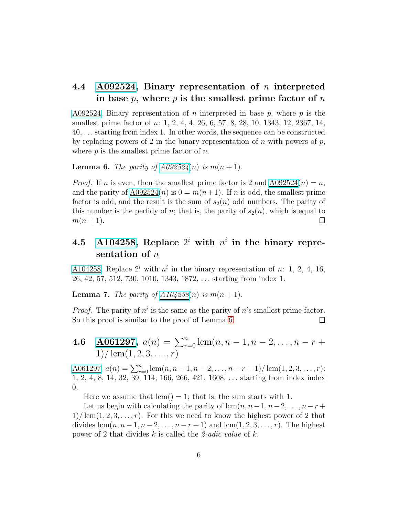#### 4.4  $\Delta 0.092524$ , Binary representation of *n* interpreted in base  $p$ , where  $p$  is the smallest prime factor of  $n$

[A092524,](http://oeis.org/A092524) Binary representation of n interpreted in base  $p$ , where  $p$  is the smallest prime factor of n: 1, 2, 4, 4, 26, 6, 57, 8, 28, 10, 1343, 12, 2367, 14, 40, . . . starting from index 1. In other words, the sequence can be constructed by replacing powers of 2 in the binary representation of n with powers of  $p$ , where  $p$  is the smallest prime factor of  $n$ .

<span id="page-5-0"></span>**Lemma 6.** *The parity of*  $\underline{A092524}(n)$  *is*  $m(n + 1)$ *.* 

*Proof.* If n is even, then the smallest prime factor is 2 and  $A092524(n) = n$ , and the parity of  $\underline{A092524}(n)$  is  $0 = m(n+1)$ . If n is odd, the smallest prime factor is odd, and the result is the sum of  $s_2(n)$  odd numbers. The parity of this number is the perfidy of n; that is, the parity of  $s_2(n)$ , which is equal to  $m(n+1)$ .  $\Box$ 

## 4.5  $\Lambda$ 104258, Replace  $2^i$  with  $n^i$  in the binary representation of  $n$

[A104258,](http://oeis.org/A104258) Replace  $2^i$  with  $n^i$  in the binary representation of n: 1, 2, 4, 16, 26, 42, 57, 512, 730, 1010, 1343, 1872, . . . starting from index 1.

**Lemma 7.** *The parity of [A104258](http://oeis.org/A104258)(n) is*  $m(n + 1)$ *.* 

*Proof.* The parity of  $n^i$  is the same as the parity of n's smallest prime factor. So this proof is similar to the proof of Lemma [6.](#page-5-0)  $\Box$ 

**4.6** **A061297**, 
$$
a(n) = \sum_{r=0}^{n} \text{lcm}(n, n-1, n-2, ..., n-r+1) / \text{lcm}(1, 2, 3, ..., r)
$$

<u>A061297</u>,  $a(n) = \sum_{r=0}^{n} \text{lcm}(n, n-1, n-2, \ldots, n-r+1) / \text{lcm}(1, 2, 3, \ldots, r)$ : 1, 2, 4, 8, 14, 32, 39, 114, 166, 266, 421, 1608, . . . starting from index index 0.

Here we assume that  $lcm() = 1$ ; that is, the sum starts with 1.

Let us begin with calculating the parity of  $\text{lcm}(n, n-1, n-2, \ldots, n-r+1)$  $1)/\mathrm{lcm}(1, 2, 3, \ldots, r)$ . For this we need to know the highest power of 2 that divides  $\text{lcm}(n, n-1, n-2, \ldots, n-r+1)$  and  $\text{lcm}(1, 2, 3, \ldots, r)$ . The highest power of 2 that divides k is called the *2-adic value* of k.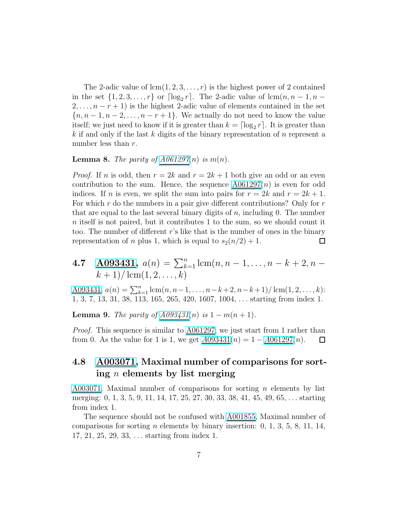The 2-adic value of  $lcm(1, 2, 3, ..., r)$  is the highest power of 2 contained in the set  $\{1, 2, 3, \ldots, r\}$  or  $\lceil \log_2 r \rceil$ . The 2-adic value of  $\operatorname{lcm}(n, n-1, n-1)$  $2, \ldots, n-r+1$  is the highest 2-adic value of elements contained in the set  ${n, n-1, n-2, \ldots, n-r+1}$ . We actually do not need to know the value itself; we just need to know if it is greater than  $k = \lceil \log_2 r \rceil$ . It is greater than k if and only if the last k digits of the binary representation of n represent a number less than r.

#### **Lemma 8.** *The parity of [A061297](http://oeis.org/A061297)(n) is*  $m(n)$ *.*

*Proof.* If n is odd, then  $r = 2k$  and  $r = 2k + 1$  both give an odd or an even contribution to the sum. Hence, the sequence  $A061297(n)$  is even for odd indices. If n is even, we split the sum into pairs for  $r = 2k$  and  $r = 2k + 1$ . For which  $r$  do the numbers in a pair give different contributions? Only for  $r$ that are equal to the last several binary digits of  $n$ , including 0. The number n itself is not paired, but it contributes 1 to the sum, so we should count it too. The number of different r's like that is the number of ones in the binary representation of *n* plus 1, which is equal to  $s_2(n/2) + 1$ .  $\Box$ 

4.7 A093431, 
$$
a(n) = \sum_{k=1}^{n} \text{lcm}(n, n-1, ..., n-k+2, n-k+1) / \text{lcm}(1, 2, ..., k)
$$

<u>A093431</u>,  $a(n) = \sum_{k=1}^{n} \text{lcm}(n, n-1, \ldots, n-k+2, n-k+1) / \text{lcm}(1, 2, \ldots, k)$ : 1, 3, 7, 13, 31, 38, 113, 165, 265, 420, 1607, 1004, . . . starting from index 1.

**Lemma 9.** *The parity of [A093431](http://oeis.org/A093431)(n) is*  $1 - m(n + 1)$ *.* 

*Proof.* This sequence is similar to [A061297;](http://oeis.org/A061297) we just start from 1 rather than from 0. As the value for 1 is 1, we get  $A093431(n) = 1 - A061297(n)$  $A093431(n) = 1 - A061297(n)$  $A093431(n) = 1 - A061297(n)$  $A093431(n) = 1 - A061297(n)$  $A093431(n) = 1 - A061297(n)$ .  $\Box$ 

#### 4.8 [A003071,](http://oeis.org/A003071) Maximal number of comparisons for sorting n elements by list merging

 $A003071$ , Maximal number of comparisons for sorting *n* elements by list merging: 0, 1, 3, 5, 9, 11, 14, 17, 25, 27, 30, 33, 38, 41, 45, 49, 65, . . . starting from index 1.

The sequence should not be confused with [A001855,](http://oeis.org/A001855) Maximal number of comparisons for sorting *n* elements by binary insertion:  $0, 1, 3, 5, 8, 11, 14,$ 17, 21, 25, 29, 33, . . . starting from index 1.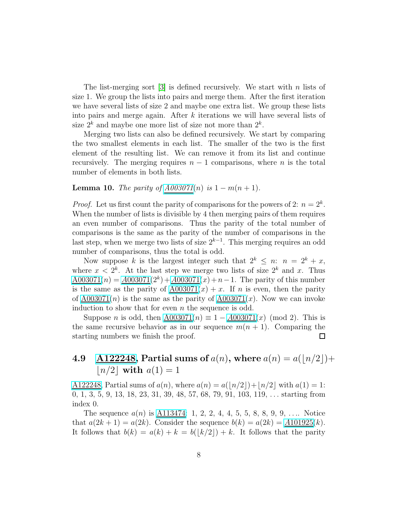The list-merging sort  $\lceil 3 \rceil$  is defined recursively. We start with n lists of size 1. We group the lists into pairs and merge them. After the first iteration we have several lists of size 2 and maybe one extra list. We group these lists into pairs and merge again. After  $k$  iterations we will have several lists of size  $2^k$  and maybe one more list of size not more than  $2^k$ .

Merging two lists can also be defined recursively. We start by comparing the two smallest elements in each list. The smaller of the two is the first element of the resulting list. We can remove it from its list and continue recursively. The merging requires  $n - 1$  comparisons, where n is the total number of elements in both lists.

**Lemma 10.** *The parity of*  $A003071(n)$  *is* 1 − m(n + 1)*.* 

*Proof.* Let us first count the parity of comparisons for the powers of 2:  $n = 2^k$ . When the number of lists is divisible by 4 then merging pairs of them requires an even number of comparisons. Thus the parity of the total number of comparisons is the same as the parity of the number of comparisons in the last step, when we merge two lists of size  $2^{k-1}$ . This merging requires an odd number of comparisons, thus the total is odd.

Now suppose k is the largest integer such that  $2^k \leq n$ :  $n = 2^k + x$ , where  $x < 2^k$ . At the last step we merge two lists of size  $2^k$  and x. Thus  $A003071(n) = A003071(2^k) + A003071(n) + n - 1$  $A003071(n) = A003071(2^k) + A003071(n) + n - 1$  $A003071(n) = A003071(2^k) + A003071(n) + n - 1$  $A003071(n) = A003071(2^k) + A003071(n) + n - 1$ . The parity of this number is the same as the parity of  $\frac{A003071(x) + x}{x}$ . If *n* is even, then the parity of  $A003071(n)$  is the same as the parity of  $A003071(x)$ . Now we can invoke induction to show that for even  $n$  the sequence is odd.

Suppose *n* is odd, then  $A003071(n) \equiv 1 - A003071(x) \pmod{2}$  $A003071(n) \equiv 1 - A003071(x) \pmod{2}$  $A003071(n) \equiv 1 - A003071(x) \pmod{2}$ . This is the same recursive behavior as in our sequence  $m(n + 1)$ . Comparing the starting numbers we finish the proof.  $\Box$ 

### 4.9 [A122248,](http://oeis.org/A122248) Partial sums of  $a(n)$ , where  $a(n) = a(|n/2|) + a$  $|n/2|$  with  $a(1)=1$

 $\underline{A122248}$ , Partial sums of  $a(n)$ , where  $a(n) = a(|n/2|) + |n/2|$  with  $a(1) = 1$ : 0, 1, 3, 5, 9, 13, 18, 23, 31, 39, 48, 57, 68, 79, 91, 103, 119, . . . starting from index 0.

The sequence  $a(n)$  is  $\underline{\text{A113474}}$ : 1, 2, 2, 4, 4, 5, 5, 8, 8, 9, 9, .... Notice that  $a(2k + 1) = a(2k)$ . Consider the sequence  $b(k) = a(2k) = A101925(k)$  $b(k) = a(2k) = A101925(k)$  $b(k) = a(2k) = A101925(k)$ . It follows that  $b(k) = a(k) + k = b(|k/2|) + k$ . It follows that the parity